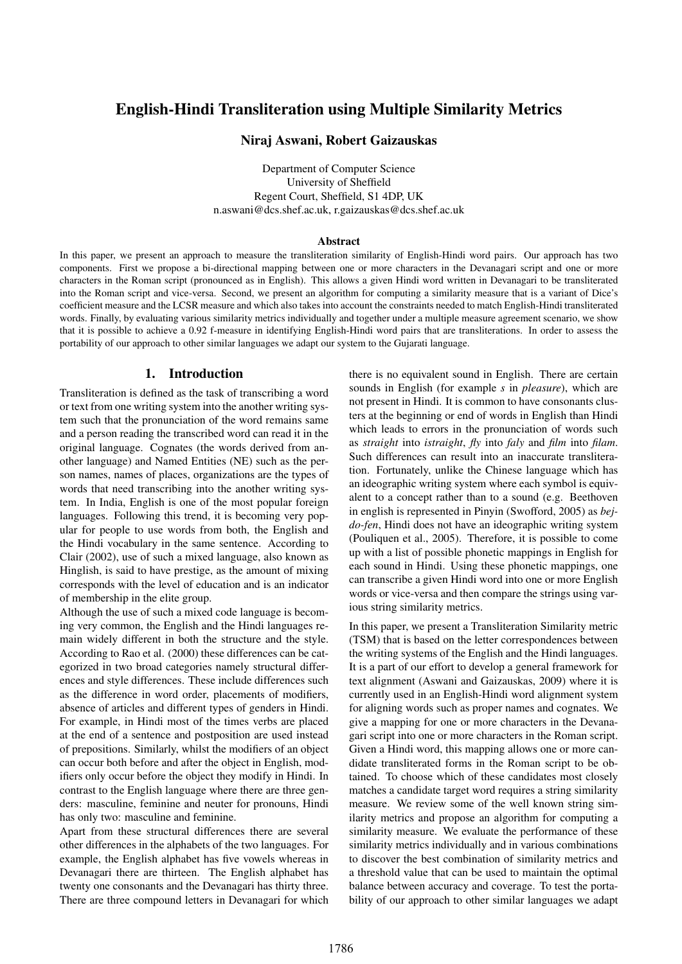# English-Hindi Transliteration using Multiple Similarity Metrics

## Niraj Aswani, Robert Gaizauskas

Department of Computer Science University of Sheffield Regent Court, Sheffield, S1 4DP, UK n.aswani@dcs.shef.ac.uk, r.gaizauskas@dcs.shef.ac.uk

#### Abstract

In this paper, we present an approach to measure the transliteration similarity of English-Hindi word pairs. Our approach has two components. First we propose a bi-directional mapping between one or more characters in the Devanagari script and one or more characters in the Roman script (pronounced as in English). This allows a given Hindi word written in Devanagari to be transliterated into the Roman script and vice-versa. Second, we present an algorithm for computing a similarity measure that is a variant of Dice's coefficient measure and the LCSR measure and which also takes into account the constraints needed to match English-Hindi transliterated words. Finally, by evaluating various similarity metrics individually and together under a multiple measure agreement scenario, we show that it is possible to achieve a 0.92 f-measure in identifying English-Hindi word pairs that are transliterations. In order to assess the portability of our approach to other similar languages we adapt our system to the Gujarati language.

# 1. Introduction

Transliteration is defined as the task of transcribing a word or text from one writing system into the another writing system such that the pronunciation of the word remains same and a person reading the transcribed word can read it in the original language. Cognates (the words derived from another language) and Named Entities (NE) such as the person names, names of places, organizations are the types of words that need transcribing into the another writing system. In India, English is one of the most popular foreign languages. Following this trend, it is becoming very popular for people to use words from both, the English and the Hindi vocabulary in the same sentence. According to Clair (2002), use of such a mixed language, also known as Hinglish, is said to have prestige, as the amount of mixing corresponds with the level of education and is an indicator of membership in the elite group.

Although the use of such a mixed code language is becoming very common, the English and the Hindi languages remain widely different in both the structure and the style. According to Rao et al. (2000) these differences can be categorized in two broad categories namely structural differences and style differences. These include differences such as the difference in word order, placements of modifiers, absence of articles and different types of genders in Hindi. For example, in Hindi most of the times verbs are placed at the end of a sentence and postposition are used instead of prepositions. Similarly, whilst the modifiers of an object can occur both before and after the object in English, modifiers only occur before the object they modify in Hindi. In contrast to the English language where there are three genders: masculine, feminine and neuter for pronouns, Hindi has only two: masculine and feminine.

Apart from these structural differences there are several other differences in the alphabets of the two languages. For example, the English alphabet has five vowels whereas in Devanagari there are thirteen. The English alphabet has twenty one consonants and the Devanagari has thirty three. There are three compound letters in Devanagari for which there is no equivalent sound in English. There are certain sounds in English (for example *s* in *pleasure*), which are not present in Hindi. It is common to have consonants clusters at the beginning or end of words in English than Hindi which leads to errors in the pronunciation of words such as *straight* into *istraight*, *fly* into *faly* and *film* into *filam*. Such differences can result into an inaccurate transliteration. Fortunately, unlike the Chinese language which has an ideographic writing system where each symbol is equivalent to a concept rather than to a sound (e.g. Beethoven in english is represented in Pinyin (Swofford, 2005) as *bejdo-fen*, Hindi does not have an ideographic writing system (Pouliquen et al., 2005). Therefore, it is possible to come up with a list of possible phonetic mappings in English for each sound in Hindi. Using these phonetic mappings, one can transcribe a given Hindi word into one or more English words or vice-versa and then compare the strings using various string similarity metrics.

In this paper, we present a Transliteration Similarity metric (TSM) that is based on the letter correspondences between the writing systems of the English and the Hindi languages. It is a part of our effort to develop a general framework for text alignment (Aswani and Gaizauskas, 2009) where it is currently used in an English-Hindi word alignment system for aligning words such as proper names and cognates. We give a mapping for one or more characters in the Devanagari script into one or more characters in the Roman script. Given a Hindi word, this mapping allows one or more candidate transliterated forms in the Roman script to be obtained. To choose which of these candidates most closely matches a candidate target word requires a string similarity measure. We review some of the well known string similarity metrics and propose an algorithm for computing a similarity measure. We evaluate the performance of these similarity metrics individually and in various combinations to discover the best combination of similarity metrics and a threshold value that can be used to maintain the optimal balance between accuracy and coverage. To test the portability of our approach to other similar languages we adapt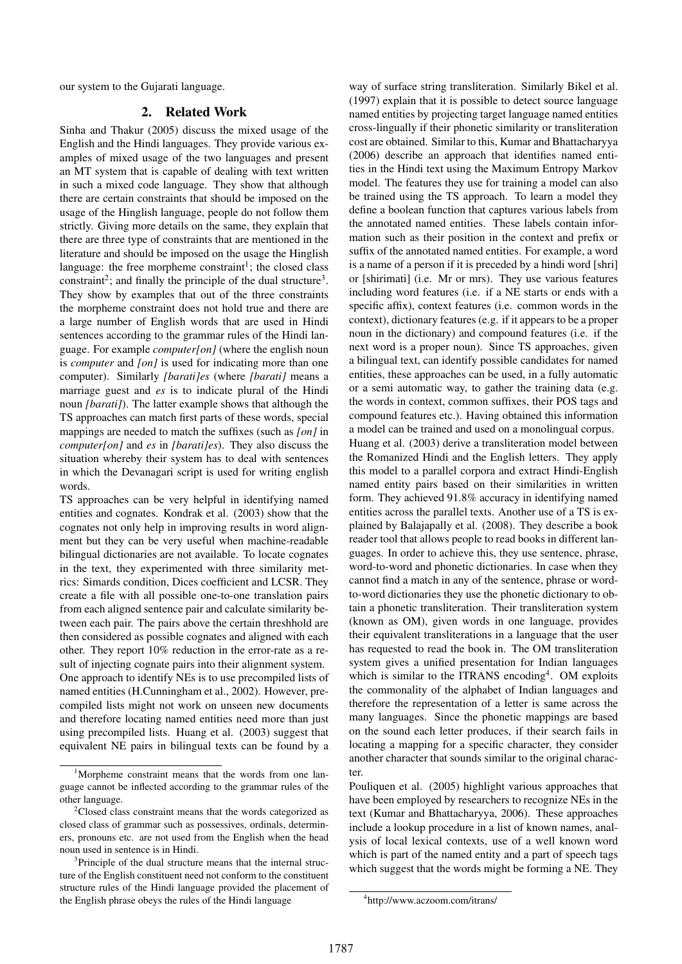our system to the Gujarati language.

## 2. Related Work

Sinha and Thakur (2005) discuss the mixed usage of the English and the Hindi languages. They provide various examples of mixed usage of the two languages and present an MT system that is capable of dealing with text written in such a mixed code language. They show that although there are certain constraints that should be imposed on the usage of the Hinglish language, people do not follow them strictly. Giving more details on the same, they explain that there are three type of constraints that are mentioned in the literature and should be imposed on the usage the Hinglish language: the free morpheme constraint<sup>1</sup>; the closed class constraint<sup>2</sup>; and finally the principle of the dual structure<sup>3</sup>. They show by examples that out of the three constraints the morpheme constraint does not hold true and there are a large number of English words that are used in Hindi sentences according to the grammar rules of the Hindi language. For example *computer[on]* (where the english noun is *computer* and *[on]* is used for indicating more than one computer). Similarly *[barati]es* (where *[barati]* means a marriage guest and *es* is to indicate plural of the Hindi noun *[barati]*). The latter example shows that although the TS approaches can match first parts of these words, special mappings are needed to match the suffixes (such as *[on]* in *computer[on]* and *es* in *[barati]es*). They also discuss the situation whereby their system has to deal with sentences in which the Devanagari script is used for writing english words.

TS approaches can be very helpful in identifying named entities and cognates. Kondrak et al. (2003) show that the cognates not only help in improving results in word alignment but they can be very useful when machine-readable bilingual dictionaries are not available. To locate cognates in the text, they experimented with three similarity metrics: Simards condition, Dices coefficient and LCSR. They create a file with all possible one-to-one translation pairs from each aligned sentence pair and calculate similarity between each pair. The pairs above the certain threshhold are then considered as possible cognates and aligned with each other. They report 10% reduction in the error-rate as a result of injecting cognate pairs into their alignment system. One approach to identify NEs is to use precompiled lists of named entities (H.Cunningham et al., 2002). However, precompiled lists might not work on unseen new documents and therefore locating named entities need more than just using precompiled lists. Huang et al. (2003) suggest that equivalent NE pairs in bilingual texts can be found by a way of surface string transliteration. Similarly Bikel et al. (1997) explain that it is possible to detect source language named entities by projecting target language named entities cross-lingually if their phonetic similarity or transliteration cost are obtained. Similar to this, Kumar and Bhattacharyya (2006) describe an approach that identifies named entities in the Hindi text using the Maximum Entropy Markov model. The features they use for training a model can also be trained using the TS approach. To learn a model they define a boolean function that captures various labels from the annotated named entities. These labels contain information such as their position in the context and prefix or suffix of the annotated named entities. For example, a word is a name of a person if it is preceded by a hindi word [shri] or [shirimati] (i.e. Mr or mrs). They use various features including word features (i.e. if a NE starts or ends with a specific affix), context features (i.e. common words in the context), dictionary features (e.g. if it appears to be a proper noun in the dictionary) and compound features (i.e. if the next word is a proper noun). Since TS approaches, given a bilingual text, can identify possible candidates for named entities, these approaches can be used, in a fully automatic or a semi automatic way, to gather the training data (e.g. the words in context, common suffixes, their POS tags and compound features etc.). Having obtained this information a model can be trained and used on a monolingual corpus. Huang et al. (2003) derive a transliteration model between the Romanized Hindi and the English letters. They apply this model to a parallel corpora and extract Hindi-English named entity pairs based on their similarities in written form. They achieved 91.8% accuracy in identifying named entities across the parallel texts. Another use of a TS is explained by Balajapally et al. (2008). They describe a book reader tool that allows people to read books in different languages. In order to achieve this, they use sentence, phrase, word-to-word and phonetic dictionaries. In case when they cannot find a match in any of the sentence, phrase or wordto-word dictionaries they use the phonetic dictionary to obtain a phonetic transliteration. Their transliteration system (known as OM), given words in one language, provides their equivalent transliterations in a language that the user has requested to read the book in. The OM transliteration system gives a unified presentation for Indian languages which is similar to the ITRANS encoding<sup>4</sup>. OM exploits the commonality of the alphabet of Indian languages and therefore the representation of a letter is same across the many languages. Since the phonetic mappings are based on the sound each letter produces, if their search fails in locating a mapping for a specific character, they consider another character that sounds similar to the original character.

Pouliquen et al. (2005) highlight various approaches that have been employed by researchers to recognize NEs in the text (Kumar and Bhattacharyya, 2006). These approaches include a lookup procedure in a list of known names, analysis of local lexical contexts, use of a well known word which is part of the named entity and a part of speech tags which suggest that the words might be forming a NE. They

<sup>&</sup>lt;sup>1</sup>Morpheme constraint means that the words from one language cannot be inflected according to the grammar rules of the other language.

<sup>&</sup>lt;sup>2</sup>Closed class constraint means that the words categorized as closed class of grammar such as possessives, ordinals, determiners, pronouns etc. are not used from the English when the head noun used in sentence is in Hindi.

<sup>&</sup>lt;sup>3</sup>Principle of the dual structure means that the internal structure of the English constituent need not conform to the constituent structure rules of the Hindi language provided the placement of the English phrase obeys the rules of the Hindi language

<sup>4</sup> http://www.aczoom.com/itrans/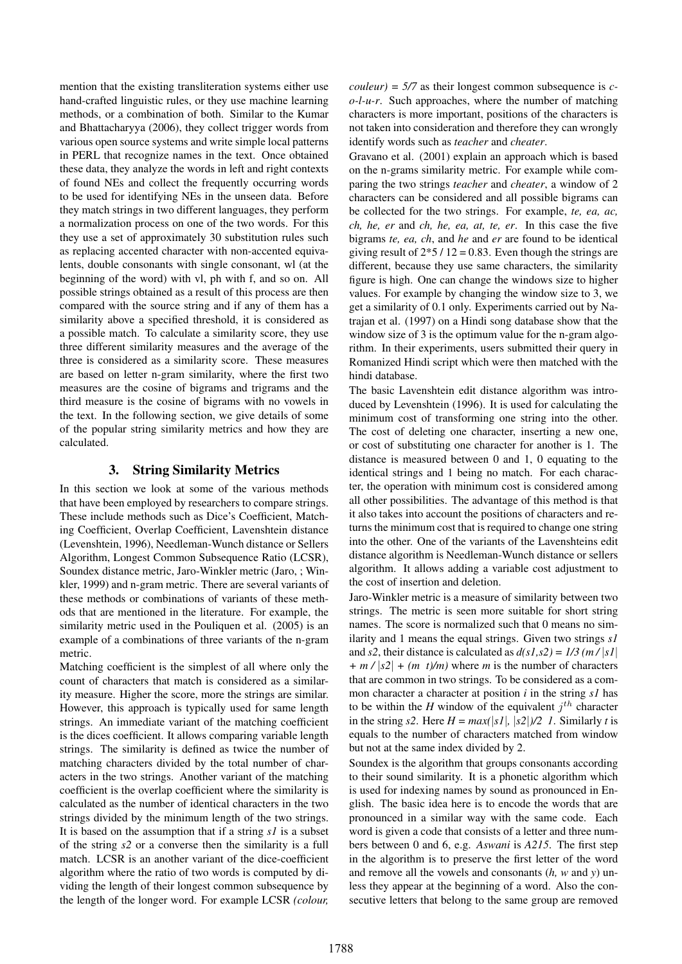mention that the existing transliteration systems either use hand-crafted linguistic rules, or they use machine learning methods, or a combination of both. Similar to the Kumar and Bhattacharyya (2006), they collect trigger words from various open source systems and write simple local patterns in PERL that recognize names in the text. Once obtained these data, they analyze the words in left and right contexts of found NEs and collect the frequently occurring words to be used for identifying NEs in the unseen data. Before they match strings in two different languages, they perform a normalization process on one of the two words. For this they use a set of approximately 30 substitution rules such as replacing accented character with non-accented equivalents, double consonants with single consonant, wl (at the beginning of the word) with vl, ph with f, and so on. All possible strings obtained as a result of this process are then compared with the source string and if any of them has a similarity above a specified threshold, it is considered as a possible match. To calculate a similarity score, they use three different similarity measures and the average of the three is considered as a similarity score. These measures are based on letter n-gram similarity, where the first two measures are the cosine of bigrams and trigrams and the third measure is the cosine of bigrams with no vowels in the text. In the following section, we give details of some of the popular string similarity metrics and how they are calculated.

## 3. String Similarity Metrics

In this section we look at some of the various methods that have been employed by researchers to compare strings. These include methods such as Dice's Coefficient, Matching Coefficient, Overlap Coefficient, Lavenshtein distance (Levenshtein, 1996), Needleman-Wunch distance or Sellers Algorithm, Longest Common Subsequence Ratio (LCSR), Soundex distance metric, Jaro-Winkler metric (Jaro, ; Winkler, 1999) and n-gram metric. There are several variants of these methods or combinations of variants of these methods that are mentioned in the literature. For example, the similarity metric used in the Pouliquen et al. (2005) is an example of a combinations of three variants of the n-gram metric.

Matching coefficient is the simplest of all where only the count of characters that match is considered as a similarity measure. Higher the score, more the strings are similar. However, this approach is typically used for same length strings. An immediate variant of the matching coefficient is the dices coefficient. It allows comparing variable length strings. The similarity is defined as twice the number of matching characters divided by the total number of characters in the two strings. Another variant of the matching coefficient is the overlap coefficient where the similarity is calculated as the number of identical characters in the two strings divided by the minimum length of the two strings. It is based on the assumption that if a string *s1* is a subset of the string *s2* or a converse then the similarity is a full match. LCSR is an another variant of the dice-coefficient algorithm where the ratio of two words is computed by dividing the length of their longest common subsequence by the length of the longer word. For example LCSR *(colour,*

*couleur) = 5/7* as their longest common subsequence is *co-l-u-r*. Such approaches, where the number of matching characters is more important, positions of the characters is not taken into consideration and therefore they can wrongly identify words such as *teacher* and *cheater*.

Gravano et al. (2001) explain an approach which is based on the n-grams similarity metric. For example while comparing the two strings *teacher* and *cheater*, a window of 2 characters can be considered and all possible bigrams can be collected for the two strings. For example, *te, ea, ac, ch, he, er* and *ch, he, ea, at, te, er*. In this case the five bigrams *te, ea, ch*, and *he* and *er* are found to be identical giving result of  $2*5/12 = 0.83$ . Even though the strings are different, because they use same characters, the similarity figure is high. One can change the windows size to higher values. For example by changing the window size to 3, we get a similarity of 0.1 only. Experiments carried out by Natrajan et al. (1997) on a Hindi song database show that the window size of 3 is the optimum value for the n-gram algorithm. In their experiments, users submitted their query in Romanized Hindi script which were then matched with the hindi database.

The basic Lavenshtein edit distance algorithm was introduced by Levenshtein (1996). It is used for calculating the minimum cost of transforming one string into the other. The cost of deleting one character, inserting a new one, or cost of substituting one character for another is 1. The distance is measured between 0 and 1, 0 equating to the identical strings and 1 being no match. For each character, the operation with minimum cost is considered among all other possibilities. The advantage of this method is that it also takes into account the positions of characters and returns the minimum cost that is required to change one string into the other. One of the variants of the Lavenshteins edit distance algorithm is Needleman-Wunch distance or sellers algorithm. It allows adding a variable cost adjustment to the cost of insertion and deletion.

Jaro-Winkler metric is a measure of similarity between two strings. The metric is seen more suitable for short string names. The score is normalized such that 0 means no similarity and 1 means the equal strings. Given two strings *s1* and *s2*, their distance is calculated as  $d(s1, s2) = 1/3$  (m/|s1| *+ m /* |*s2*| *+ (m t)/m)* where *m* is the number of characters that are common in two strings. To be considered as a common character a character at position *i* in the string *s1* has to be within the  $H$  window of the equivalent  $j<sup>th</sup>$  character in the string *s2*. Here  $H = max(|sI|, |s2|)/2$  1. Similarly *t* is equals to the number of characters matched from window but not at the same index divided by 2.

Soundex is the algorithm that groups consonants according to their sound similarity. It is a phonetic algorithm which is used for indexing names by sound as pronounced in English. The basic idea here is to encode the words that are pronounced in a similar way with the same code. Each word is given a code that consists of a letter and three numbers between 0 and 6, e.g. *Aswani* is *A215*. The first step in the algorithm is to preserve the first letter of the word and remove all the vowels and consonants (*h, w* and *y*) unless they appear at the beginning of a word. Also the consecutive letters that belong to the same group are removed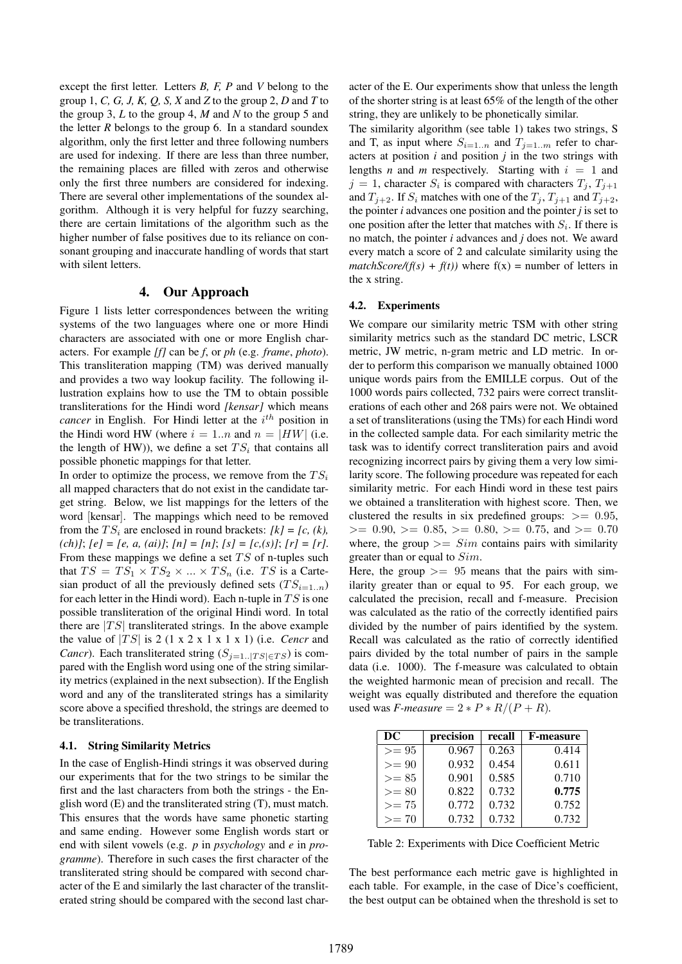except the first letter. Letters *B, F, P* and *V* belong to the group 1, *C, G, J, K, Q, S, X* and *Z* to the group 2, *D* and *T* to the group 3, *L* to the group 4, *M* and *N* to the group 5 and the letter *R* belongs to the group 6. In a standard soundex algorithm, only the first letter and three following numbers are used for indexing. If there are less than three number, the remaining places are filled with zeros and otherwise only the first three numbers are considered for indexing. There are several other implementations of the soundex algorithm. Although it is very helpful for fuzzy searching, there are certain limitations of the algorithm such as the higher number of false positives due to its reliance on consonant grouping and inaccurate handling of words that start with silent letters.

#### 4. Our Approach

Figure 1 lists letter correspondences between the writing systems of the two languages where one or more Hindi characters are associated with one or more English characters. For example *[f]* can be *f*, or *ph* (e.g. *frame*, *photo*). This transliteration mapping (TM) was derived manually and provides a two way lookup facility. The following illustration explains how to use the TM to obtain possible transliterations for the Hindi word *[kensar]* which means *cancer* in English. For Hindi letter at the  $i^{th}$  position in the Hindi word HW (where  $i = 1..n$  and  $n = |HW|$  (i.e. the length of HW)), we define a set  $TS_i$  that contains all possible phonetic mappings for that letter.

In order to optimize the process, we remove from the  $TS_i$ all mapped characters that do not exist in the candidate target string. Below, we list mappings for the letters of the word [kensar]. The mappings which need to be removed from the  $TS_i$  are enclosed in round brackets:  $[k] = [c, (k)]$ , *(ch)]*; *[e] = [e, a, (ai)]*; *[n] = [n]*; *[s] = [c,(s)]*; *[r] = [r]*. From these mappings we define a set  $TS$  of n-tuples such that  $TS = TS_1 \times TS_2 \times ... \times TS_n$  (i.e. TS is a Cartesian product of all the previously defined sets  $(TS_{i=1..n})$ for each letter in the Hindi word). Each n-tuple in  $TS$  is one possible transliteration of the original Hindi word. In total there are  $|TS|$  transliterated strings. In the above example the value of  $|TS|$  is 2 (1 x 2 x 1 x 1 x 1) (i.e. *Cencr* and *Cancr*). Each transliterated string  $(S_{j=1..|TS| \in TS})$  is compared with the English word using one of the string similarity metrics (explained in the next subsection). If the English word and any of the transliterated strings has a similarity score above a specified threshold, the strings are deemed to be transliterations.

## 4.1. String Similarity Metrics

In the case of English-Hindi strings it was observed during our experiments that for the two strings to be similar the first and the last characters from both the strings - the English word (E) and the transliterated string (T), must match. This ensures that the words have same phonetic starting and same ending. However some English words start or end with silent vowels (e.g. *p* in *psychology* and *e* in *programme*). Therefore in such cases the first character of the transliterated string should be compared with second character of the E and similarly the last character of the transliterated string should be compared with the second last character of the E. Our experiments show that unless the length of the shorter string is at least 65% of the length of the other string, they are unlikely to be phonetically similar.

The similarity algorithm (see table 1) takes two strings, S and T, as input where  $S_{i=1..n}$  and  $T_{j=1..m}$  refer to characters at position *i* and position *j* in the two strings with lengths *n* and *m* respectively. Starting with  $i = 1$  and  $j = 1$ , character  $S_i$  is compared with characters  $T_j$ ,  $T_{j+1}$ and  $T_{i+2}$ . If  $S_i$  matches with one of the  $T_i$ ,  $T_{i+1}$  and  $T_{i+2}$ , the pointer *i* advances one position and the pointer *j* is set to one position after the letter that matches with  $S_i$ . If there is no match, the pointer *i* advances and *j* does not. We award every match a score of 2 and calculate similarity using the *matchScore/(f(s)* +  $f(t)$ ) where  $f(x)$  = number of letters in the x string.

#### 4.2. Experiments

We compare our similarity metric TSM with other string similarity metrics such as the standard DC metric, LSCR metric, JW metric, n-gram metric and LD metric. In order to perform this comparison we manually obtained 1000 unique words pairs from the EMILLE corpus. Out of the 1000 words pairs collected, 732 pairs were correct transliterations of each other and 268 pairs were not. We obtained a set of transliterations (using the TMs) for each Hindi word in the collected sample data. For each similarity metric the task was to identify correct transliteration pairs and avoid recognizing incorrect pairs by giving them a very low similarity score. The following procedure was repeated for each similarity metric. For each Hindi word in these test pairs we obtained a transliteration with highest score. Then, we clustered the results in six predefined groups:  $\geq$  0.95,  $>= 0.90, \, = 0.85, \, = 0.80, \, = 0.75, \,$  and  $>= 0.70$ where, the group  $\geq$   $\leq$   $Sim$  contains pairs with similarity greater than or equal to Sim.

Here, the group  $\geq$  95 means that the pairs with similarity greater than or equal to 95. For each group, we calculated the precision, recall and f-measure. Precision was calculated as the ratio of the correctly identified pairs divided by the number of pairs identified by the system. Recall was calculated as the ratio of correctly identified pairs divided by the total number of pairs in the sample data (i.e. 1000). The f-measure was calculated to obtain the weighted harmonic mean of precision and recall. The weight was equally distributed and therefore the equation used was *F-measure* =  $2 * P * R/(P + R)$ *.* 

| DC      | precision | recall | <b>F-measure</b> |
|---------|-----------|--------|------------------|
| $>= 95$ | 0.967     | 0.263  | 0.414            |
| $>= 90$ | 0.932     | 0.454  | 0.611            |
| $>= 85$ | 0.901     | 0.585  | 0.710            |
| $>= 80$ | 0.822     | 0.732  | 0.775            |
| $>= 75$ | 0.772     | 0.732  | 0.752            |
| $>= 70$ | 0.732     | 0.732  | 0.732            |

Table 2: Experiments with Dice Coefficient Metric

The best performance each metric gave is highlighted in each table. For example, in the case of Dice's coefficient, the best output can be obtained when the threshold is set to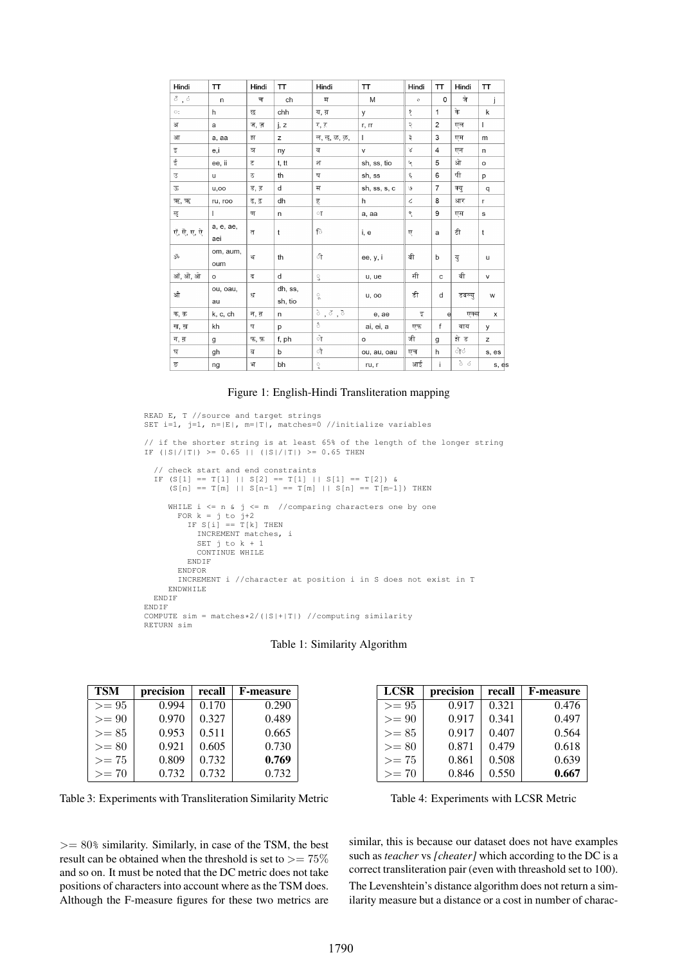| Hindi                                   | TΤ               | Hindi          | <b>TT</b>          | Hindi                  | TT            | Hindi      | π              | Hindi               | TΤ           |
|-----------------------------------------|------------------|----------------|--------------------|------------------------|---------------|------------|----------------|---------------------|--------------|
| $\mathring{\circ}$ , $\mathring{\circ}$ | $\mathsf{n}$     | च              | ch                 | म                      | M             | $\circ$    | $\Omega$       | जे                  | Ť            |
| $\circ$ :                               | h                | छ              | chh                | य. य़                  | y             | δ          | $\mathbf{1}$   | के                  | k            |
| अ                                       | a                | ज, ज़          | i, z               | र, ऱ                   | r, rr         | २          | $\overline{c}$ | एल                  | $\mathsf{L}$ |
| आ                                       | a, aa            | झ              | z                  | ल, ऌ, ळ, ऴ,            | $\mathsf{L}$  | ३          | 3              | एम                  | m            |
| इ                                       | e,i              | ञ              | ny                 | ब                      | v             | Χ          | $\overline{4}$ | एन                  | n            |
| ई                                       | ee, ii           | ट              | t, tt              | 9T                     | sh, ss, tio   | Ч          | 5              | ओ                   | $\circ$      |
| उ                                       | u.               | ठ              | th                 | ष                      | sh, ss        | ६          | 6              | पी                  | p            |
| ऊ                                       | u, oo            | ड, ड           | d                  | स                      | sh, ss, s, c  | ی          | $\overline{7}$ | क्यु                | $\mathsf{q}$ |
| ऋ, ऋ                                    | ru, roo          | ढ, ढ़          | dh                 | ह                      | h             | $\epsilon$ | 8              | आर                  | $\mathsf{r}$ |
| ऌ                                       | $\mathbf{L}$     | ण              | n                  | ा                      | a, aa         | ९          | 9              | एस                  | s            |
| एँ, ऐ, ए, ऐ                             | a, e, ae,<br>aei | $\overline{d}$ | $\mathsf{t}$       | ि                      | i, e          | ए          | a              | टी                  | t            |
| Š                                       | om, aum,<br>oum  | थ              | th                 | ी                      | ee, y, i      | बी         | b              | यु                  | $\mathsf{u}$ |
| ऑ, ओ, ओ                                 | $\circ$          | द              | d                  | $\mathbb{C}$           | u, ue         | सी         | $\mathbf c$    | वी                  | $\mathsf{V}$ |
| औ                                       | ou, oau,<br>au   | ध              | dh, ss,<br>sh, tio | $\mathfrak{g}^{\circ}$ | <b>u</b> , oo | डी         | d              | डबल्य               | W            |
| क, क़                                   | k, c, ch         | न, न           | n                  | े,ॅ,ॅ                  | e, ae         | इ          | e              | एक्स                | x            |
| ख, ख़                                   | kh               | Ч.             | p                  | ै                      | ai, ei, a     | एफ         | f              | बाय                 | у            |
| ग, ग़                                   | g                | फ, फ़          | f, ph              | ो                      | $\circ$       | जी         | g              | झे ड                | z            |
| घ                                       | gh               | ब              | b                  | ौ                      | ou, au, oau   | एच         | h              | ोंं                 | s, es        |
| ङ                                       | ng               | भ              | bh                 | ੍ਹ                     | ru, r         | आई         | $\mathbf{i}$   | $\delta$ - $\delta$ | s, es        |

#### Figure 1: English-Hindi Transliteration mapping

```
READ E, T //source and target strings
SET i=1, j=1, n=|E|, m=|T|, matches=0 //initialize variables
// if the shorter string is at least 65% of the length of the longer string
IF (|S|/|T|) >= 0.65 || (|S|/|T|) >= 0.65 THEN
  // check start and end constraints
IF (S[1] == T[1] || S[2] == T[1] || S[1] == T[2]) &
      (S[n] == T[m] || S[n-1] == T[m] || S[n] == T[m-1]) THEN
     WHILE i \le n \le j \le m //comparing characters one by one
        FOR k = j to j+2
IF S[i] == T[k] THEN
            INCREMENT matches, i
            SET j to k + 1
            CONTINUE WHILE
          ENDIF
        ENDFOR
        INCREMENT i //character at position i in S does not exist in T
     ENDWHILE
  ENDIF
ENDIF
COMPUTE sim = matches*2/(|S|+|T|) //computing similarity
RETURN sim
```

| <b>TSM</b> | precision | recall | <b>F-measure</b> |
|------------|-----------|--------|------------------|
| $>= 95$    | 0.994     | 0.170  | 0.290            |
| $>= 90$    | 0.970     | 0.327  | 0.489            |
| $>= 85$    | 0.953     | 0.511  | 0.665            |
| $>= 80$    | 0.921     | 0.605  | 0.730            |
| $>= 75$    | 0.809     | 0.732  | 0.769            |
| $>= 70$    | 0.732     | 0.732  | 0.732            |

Table 3: Experiments with Transliteration Similarity Metric

 $>= 80\%$  similarity. Similarly, in case of the TSM, the best result can be obtained when the threshold is set to  $\geq$  = 75% and so on. It must be noted that the DC metric does not take positions of characters into account where as the TSM does. Although the F-measure figures for these two metrics are

| <b>LCSR</b> | precision | recall | <b>F-measure</b> |
|-------------|-----------|--------|------------------|
| $>= 95$     | 0.917     | 0.321  | 0.476            |
| $>= 90$     | 0.917     | 0.341  | 0.497            |
| $>= 85$     | 0.917     | 0.407  | 0.564            |
| $>= 80$     | 0.871     | 0.479  | 0.618            |
| $>= 75$     | 0.861     | 0.508  | 0.639            |
| $>= 70$     | 0.846     | 0.550  | 0.667            |

Table 4: Experiments with LCSR Metric

similar, this is because our dataset does not have examples such as *teacher* vs *[cheater]* which according to the DC is a correct transliteration pair (even with threashold set to 100). The Levenshtein's distance algorithm does not return a sim-

ilarity measure but a distance or a cost in number of charac-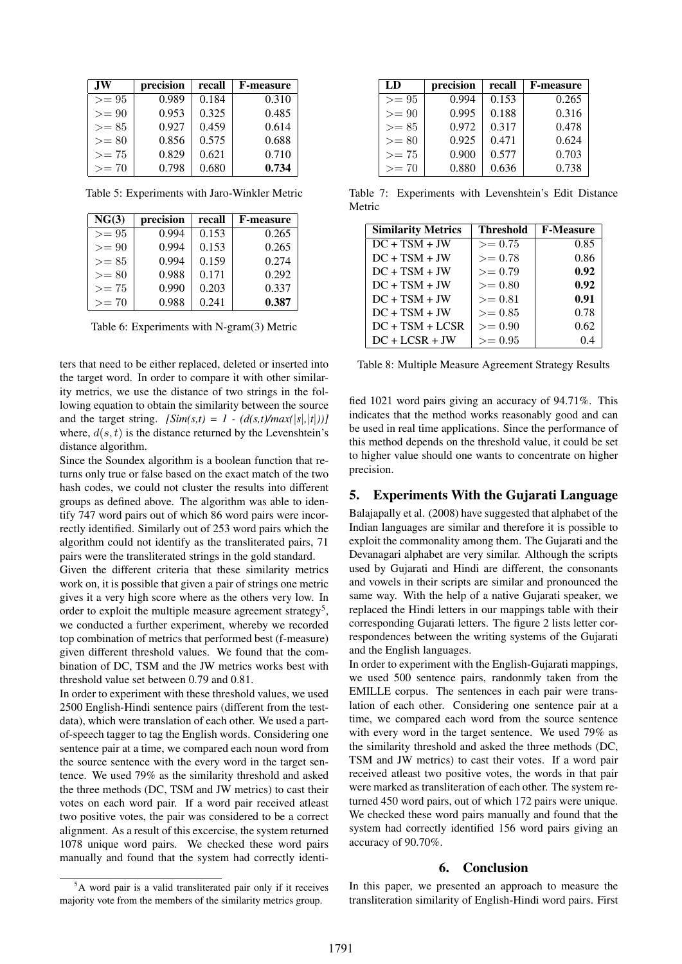| <b>JW</b> | precision | recall | <b>F-measure</b> |
|-----------|-----------|--------|------------------|
| $>= 95$   | 0.989     | 0.184  | 0.310            |
| $>= 90$   | 0.953     | 0.325  | 0.485            |
| $>= 85$   | 0.927     | 0.459  | 0.614            |
| $>= 80$   | 0.856     | 0.575  | 0.688            |
| $>= 75$   | 0.829     | 0.621  | 0.710            |
| $>= 70$   | 0.798     | 0.680  | 0.734            |

Table 5: Experiments with Jaro-Winkler Metric

| NG(3)   | precision | recall | <b>F-measure</b> |
|---------|-----------|--------|------------------|
| $>= 95$ | 0.994     | 0.153  | 0.265            |
| $>= 90$ | 0.994     | 0.153  | 0.265            |
| $>= 85$ | 0.994     | 0.159  | 0.274            |
| $>= 80$ | 0.988     | 0.171  | 0.292            |
| $>= 75$ | 0.990     | 0.203  | 0.337            |
| $>= 70$ | 0.988     | 0.241  | 0.387            |

Table 6: Experiments with N-gram(3) Metric

ters that need to be either replaced, deleted or inserted into the target word. In order to compare it with other similarity metrics, we use the distance of two strings in the following equation to obtain the similarity between the source and the target string.  $[\text{Sim}(s,t) = 1 - (d(s,t)/\text{max}(|s|,|t|))]$ where,  $d(s, t)$  is the distance returned by the Levenshtein's distance algorithm.

Since the Soundex algorithm is a boolean function that returns only true or false based on the exact match of the two hash codes, we could not cluster the results into different groups as defined above. The algorithm was able to identify 747 word pairs out of which 86 word pairs were incorrectly identified. Similarly out of 253 word pairs which the algorithm could not identify as the transliterated pairs, 71 pairs were the transliterated strings in the gold standard.

Given the different criteria that these similarity metrics work on, it is possible that given a pair of strings one metric gives it a very high score where as the others very low. In order to exploit the multiple measure agreement strategy<sup>5</sup>, we conducted a further experiment, whereby we recorded top combination of metrics that performed best (f-measure) given different threshold values. We found that the combination of DC, TSM and the JW metrics works best with threshold value set between 0.79 and 0.81.

In order to experiment with these threshold values, we used 2500 English-Hindi sentence pairs (different from the testdata), which were translation of each other. We used a partof-speech tagger to tag the English words. Considering one sentence pair at a time, we compared each noun word from the source sentence with the every word in the target sentence. We used 79% as the similarity threshold and asked the three methods (DC, TSM and JW metrics) to cast their votes on each word pair. If a word pair received atleast two positive votes, the pair was considered to be a correct alignment. As a result of this excercise, the system returned 1078 unique word pairs. We checked these word pairs manually and found that the system had correctly identi-

| LD      | precision | recall | <b>F-measure</b> |
|---------|-----------|--------|------------------|
| $>= 95$ | 0.994     | 0.153  | 0.265            |
| $>= 90$ | 0.995     | 0.188  | 0.316            |
| $>= 85$ | 0.972     | 0.317  | 0.478            |
| $>= 80$ | 0.925     | 0.471  | 0.624            |
| $>= 75$ | 0.900     | 0.577  | 0.703            |
| $>= 70$ | 0.880     | 0.636  | 0.738            |

Table 7: Experiments with Levenshtein's Edit Distance Metric

| <b>Similarity Metrics</b> | <b>Threshold</b> | <b>F-Measure</b> |
|---------------------------|------------------|------------------|
| $DC + TSM + JW$           | $>= 0.75$        | 0.85             |
| $DC + TSM + JW$           | $>= 0.78$        | 0.86             |
| $DC + TSM + JW$           | $>= 0.79$        | 0.92             |
| $DC + TSM + JW$           | $>= 0.80$        | 0.92             |
| $DC + TSM + JW$           | $>= 0.81$        | 0.91             |
| $DC + TSM + JW$           | $>= 0.85$        | 0.78             |
| $DC + TSM + LCSR$         | $>= 0.90$        | 0.62             |
| $DC + LCSR + JW$          | $>= 0.95$        |                  |

Table 8: Multiple Measure Agreement Strategy Results

fied 1021 word pairs giving an accuracy of 94.71%. This indicates that the method works reasonably good and can be used in real time applications. Since the performance of this method depends on the threshold value, it could be set to higher value should one wants to concentrate on higher precision.

## 5. Experiments With the Gujarati Language

Balajapally et al. (2008) have suggested that alphabet of the Indian languages are similar and therefore it is possible to exploit the commonality among them. The Gujarati and the Devanagari alphabet are very similar. Although the scripts used by Gujarati and Hindi are different, the consonants and vowels in their scripts are similar and pronounced the same way. With the help of a native Gujarati speaker, we replaced the Hindi letters in our mappings table with their corresponding Gujarati letters. The figure 2 lists letter correspondences between the writing systems of the Gujarati and the English languages.

In order to experiment with the English-Gujarati mappings, we used 500 sentence pairs, randonmly taken from the EMILLE corpus. The sentences in each pair were translation of each other. Considering one sentence pair at a time, we compared each word from the source sentence with every word in the target sentence. We used 79% as the similarity threshold and asked the three methods (DC, TSM and JW metrics) to cast their votes. If a word pair received atleast two positive votes, the words in that pair were marked as transliteration of each other. The system returned 450 word pairs, out of which 172 pairs were unique. We checked these word pairs manually and found that the system had correctly identified 156 word pairs giving an accuracy of 90.70%.

#### 6. Conclusion

In this paper, we presented an approach to measure the transliteration similarity of English-Hindi word pairs. First

<sup>&</sup>lt;sup>5</sup>A word pair is a valid transliterated pair only if it receives majority vote from the members of the similarity metrics group.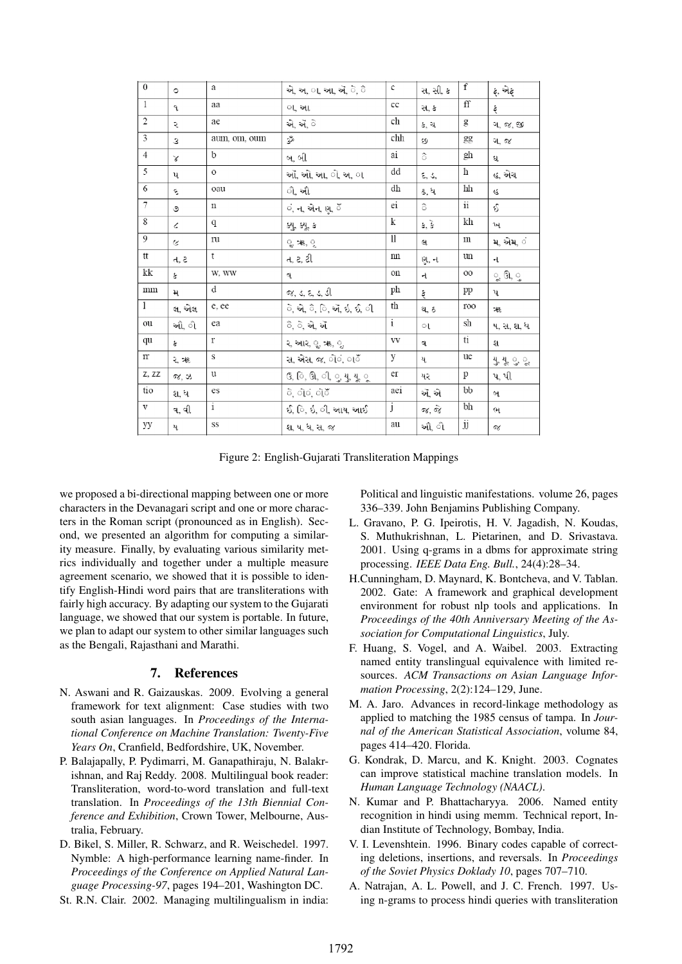| $\overline{1}$<br>ff<br>aa<br>cc<br>સ, ક<br>ફ<br>٩<br>ા. આ<br>$\overline{2}$<br>ch<br>ae<br>એ, ઍ, ે<br>g<br>કરી<br>ગ, જ, જી<br>5<br>chh<br>aum, om, oum<br>ž<br>gg<br>3<br>89<br>ગજ<br>$\overline{4}$<br>b<br>gh<br>ै<br>ai<br>બ. બી<br>ઘ<br>γ<br>5<br>h<br>dd<br>$\circ$<br>ઑ, ઓ, આ, ો, અ, ા<br>હ, એચ<br>٤, ٤,<br>ų<br>6<br>dh<br>hh<br>oau<br>ી. ઔ<br>ઢ, ધ<br>٤<br>R<br>7<br>$\mathbf{ii}$<br>ei<br>ò<br>Ş,<br>$\mathbf n$<br>ં, ન, એન, ણ, ઁ<br>ও<br>$\overline{8}$<br>$\bf k$<br>kh<br>q<br>કે, કે<br>น<br>ક્યુ, ક્યૂ, ક<br>Č.<br>9<br>11<br>ru<br>m<br>મ એમ ં<br>લ<br>್ಘ ૠ, ್ನ<br>Ğ.<br>tt<br>t<br>n<br>un<br>ત, ટ, ટી<br>ત, ટ<br>ણન<br>ન<br>kk<br>W, WW<br>Oİl<br>OO<br>ૂ ઊ, ુ<br>š<br>ન<br>વ<br>d<br>ph<br>mm<br>pp<br>જ, ડ, દ, ડ, ડી<br>મ<br>પ<br>ફે<br>1<br>th<br>e, ee<br>ે. એ, ૈ, િ, ઍ, ઇ, ઈ, ી<br>100<br>લ, એલ<br>થ. ઠ<br>混<br>i<br>sh<br>ou<br>ea<br>ૈ, ે, એ, ઍ<br>ઓ, ો<br>ષ, સ, શ, ધ<br>ા<br>ti<br>qu<br>r<br>VV<br>ર, આર, ૄ, ૠ, ૄ,<br>ş.<br>શ<br>વ<br>$\mathbf S$<br>y<br>$\mathop{\rm IT}$<br>ue<br>સ, એસ, જ, ોંં, ાઁ<br>યુ,યુ, ુ,ુ<br>રૠ<br>ય<br>Z, ZZ<br>er<br>u<br>p<br>$\mathbf{G}, \mathbf{G}, \mathbf{G}, \mathbf{G}, \mathbf{G}, \mathbf{G}, \mathbf{G}, \mathbf{G}$<br>પ.પી<br>જ. ઝ<br>યર<br>tio<br>bb<br>aei<br>es<br>ે, ોેંગ, ોેંગ<br>ઍ. એ<br>શ. ધ<br>બ<br>i<br>bh<br>j<br>V<br>ઈ. િ. ઇ. ી. આય. આઈ<br>જ, જે<br>વ.વી<br>ભ<br>$\overline{jj}$<br>SS<br>au<br>уу<br>ઔ્ીો<br>શ. ષ. ધ, સ, જ<br>ય<br>σγ | $\overline{0}$ | $\circ$ | a | એ, અ, ા, આ, ઍ, ે, ૈ | $\mathbf{C}$ | સ, સી, ક | $\overline{f}$ | ફ, એફ |
|----------------------------------------------------------------------------------------------------------------------------------------------------------------------------------------------------------------------------------------------------------------------------------------------------------------------------------------------------------------------------------------------------------------------------------------------------------------------------------------------------------------------------------------------------------------------------------------------------------------------------------------------------------------------------------------------------------------------------------------------------------------------------------------------------------------------------------------------------------------------------------------------------------------------------------------------------------------------------------------------------------------------------------------------------------------------------------------------------------------------------------------------------------------------------------------------------------------------------------------------------------------------------------------------------------------------------------------------------------------------------------------------------------------------------|----------------|---------|---|---------------------|--------------|----------|----------------|-------|
|                                                                                                                                                                                                                                                                                                                                                                                                                                                                                                                                                                                                                                                                                                                                                                                                                                                                                                                                                                                                                                                                                                                                                                                                                                                                                                                                                                                                                            |                |         |   |                     |              |          |                |       |
|                                                                                                                                                                                                                                                                                                                                                                                                                                                                                                                                                                                                                                                                                                                                                                                                                                                                                                                                                                                                                                                                                                                                                                                                                                                                                                                                                                                                                            |                |         |   |                     |              |          |                |       |
|                                                                                                                                                                                                                                                                                                                                                                                                                                                                                                                                                                                                                                                                                                                                                                                                                                                                                                                                                                                                                                                                                                                                                                                                                                                                                                                                                                                                                            |                |         |   |                     |              |          |                |       |
|                                                                                                                                                                                                                                                                                                                                                                                                                                                                                                                                                                                                                                                                                                                                                                                                                                                                                                                                                                                                                                                                                                                                                                                                                                                                                                                                                                                                                            |                |         |   |                     |              |          |                |       |
|                                                                                                                                                                                                                                                                                                                                                                                                                                                                                                                                                                                                                                                                                                                                                                                                                                                                                                                                                                                                                                                                                                                                                                                                                                                                                                                                                                                                                            |                |         |   |                     |              |          |                |       |
|                                                                                                                                                                                                                                                                                                                                                                                                                                                                                                                                                                                                                                                                                                                                                                                                                                                                                                                                                                                                                                                                                                                                                                                                                                                                                                                                                                                                                            |                |         |   |                     |              |          |                |       |
|                                                                                                                                                                                                                                                                                                                                                                                                                                                                                                                                                                                                                                                                                                                                                                                                                                                                                                                                                                                                                                                                                                                                                                                                                                                                                                                                                                                                                            |                |         |   |                     |              |          |                |       |
|                                                                                                                                                                                                                                                                                                                                                                                                                                                                                                                                                                                                                                                                                                                                                                                                                                                                                                                                                                                                                                                                                                                                                                                                                                                                                                                                                                                                                            |                |         |   |                     |              |          |                |       |
|                                                                                                                                                                                                                                                                                                                                                                                                                                                                                                                                                                                                                                                                                                                                                                                                                                                                                                                                                                                                                                                                                                                                                                                                                                                                                                                                                                                                                            |                |         |   |                     |              |          |                |       |
|                                                                                                                                                                                                                                                                                                                                                                                                                                                                                                                                                                                                                                                                                                                                                                                                                                                                                                                                                                                                                                                                                                                                                                                                                                                                                                                                                                                                                            |                |         |   |                     |              |          |                |       |
|                                                                                                                                                                                                                                                                                                                                                                                                                                                                                                                                                                                                                                                                                                                                                                                                                                                                                                                                                                                                                                                                                                                                                                                                                                                                                                                                                                                                                            |                |         |   |                     |              |          |                |       |
|                                                                                                                                                                                                                                                                                                                                                                                                                                                                                                                                                                                                                                                                                                                                                                                                                                                                                                                                                                                                                                                                                                                                                                                                                                                                                                                                                                                                                            |                |         |   |                     |              |          |                |       |
|                                                                                                                                                                                                                                                                                                                                                                                                                                                                                                                                                                                                                                                                                                                                                                                                                                                                                                                                                                                                                                                                                                                                                                                                                                                                                                                                                                                                                            |                |         |   |                     |              |          |                |       |
|                                                                                                                                                                                                                                                                                                                                                                                                                                                                                                                                                                                                                                                                                                                                                                                                                                                                                                                                                                                                                                                                                                                                                                                                                                                                                                                                                                                                                            |                |         |   |                     |              |          |                |       |
|                                                                                                                                                                                                                                                                                                                                                                                                                                                                                                                                                                                                                                                                                                                                                                                                                                                                                                                                                                                                                                                                                                                                                                                                                                                                                                                                                                                                                            |                |         |   |                     |              |          |                |       |
|                                                                                                                                                                                                                                                                                                                                                                                                                                                                                                                                                                                                                                                                                                                                                                                                                                                                                                                                                                                                                                                                                                                                                                                                                                                                                                                                                                                                                            |                |         |   |                     |              |          |                |       |
|                                                                                                                                                                                                                                                                                                                                                                                                                                                                                                                                                                                                                                                                                                                                                                                                                                                                                                                                                                                                                                                                                                                                                                                                                                                                                                                                                                                                                            |                |         |   |                     |              |          |                |       |
|                                                                                                                                                                                                                                                                                                                                                                                                                                                                                                                                                                                                                                                                                                                                                                                                                                                                                                                                                                                                                                                                                                                                                                                                                                                                                                                                                                                                                            |                |         |   |                     |              |          |                |       |
|                                                                                                                                                                                                                                                                                                                                                                                                                                                                                                                                                                                                                                                                                                                                                                                                                                                                                                                                                                                                                                                                                                                                                                                                                                                                                                                                                                                                                            |                |         |   |                     |              |          |                |       |
|                                                                                                                                                                                                                                                                                                                                                                                                                                                                                                                                                                                                                                                                                                                                                                                                                                                                                                                                                                                                                                                                                                                                                                                                                                                                                                                                                                                                                            |                |         |   |                     |              |          |                |       |

Figure 2: English-Gujarati Transliteration Mappings

we proposed a bi-directional mapping between one or more characters in the Devanagari script and one or more characters in the Roman script (pronounced as in English). Second, we presented an algorithm for computing a similarity measure. Finally, by evaluating various similarity metrics individually and together under a multiple measure agreement scenario, we showed that it is possible to identify English-Hindi word pairs that are transliterations with fairly high accuracy. By adapting our system to the Gujarati language, we showed that our system is portable. In future, we plan to adapt our system to other similar languages such as the Bengali, Rajasthani and Marathi.

## 7. References

- N. Aswani and R. Gaizauskas. 2009. Evolving a general framework for text alignment: Case studies with two south asian languages. In *Proceedings of the International Conference on Machine Translation: Twenty-Five Years On*, Cranfield, Bedfordshire, UK, November.
- P. Balajapally, P. Pydimarri, M. Ganapathiraju, N. Balakrishnan, and Raj Reddy. 2008. Multilingual book reader: Transliteration, word-to-word translation and full-text translation. In *Proceedings of the 13th Biennial Conference and Exhibition*, Crown Tower, Melbourne, Australia, February.
- D. Bikel, S. Miller, R. Schwarz, and R. Weischedel. 1997. Nymble: A high-performance learning name-finder. In *Proceedings of the Conference on Applied Natural Language Processing-97*, pages 194–201, Washington DC.
- St. R.N. Clair. 2002. Managing multilingualism in india:

Political and linguistic manifestations. volume 26, pages 336–339. John Benjamins Publishing Company.

- L. Gravano, P. G. Ipeirotis, H. V. Jagadish, N. Koudas, S. Muthukrishnan, L. Pietarinen, and D. Srivastava. 2001. Using q-grams in a dbms for approximate string processing. *IEEE Data Eng. Bull.*, 24(4):28–34.
- H.Cunningham, D. Maynard, K. Bontcheva, and V. Tablan. 2002. Gate: A framework and graphical development environment for robust nlp tools and applications. In *Proceedings of the 40th Anniversary Meeting of the Association for Computational Linguistics*, July.
- F. Huang, S. Vogel, and A. Waibel. 2003. Extracting named entity translingual equivalence with limited resources. *ACM Transactions on Asian Language Information Processing*, 2(2):124–129, June.
- M. A. Jaro. Advances in record-linkage methodology as applied to matching the 1985 census of tampa. In *Journal of the American Statistical Association*, volume 84, pages 414–420. Florida.
- G. Kondrak, D. Marcu, and K. Knight. 2003. Cognates can improve statistical machine translation models. In *Human Language Technology (NAACL)*.
- N. Kumar and P. Bhattacharyya. 2006. Named entity recognition in hindi using memm. Technical report, Indian Institute of Technology, Bombay, India.
- V. I. Levenshtein. 1996. Binary codes capable of correcting deletions, insertions, and reversals. In *Proceedings of the Soviet Physics Doklady 10*, pages 707–710.
- A. Natrajan, A. L. Powell, and J. C. French. 1997. Using n-grams to process hindi queries with transliteration